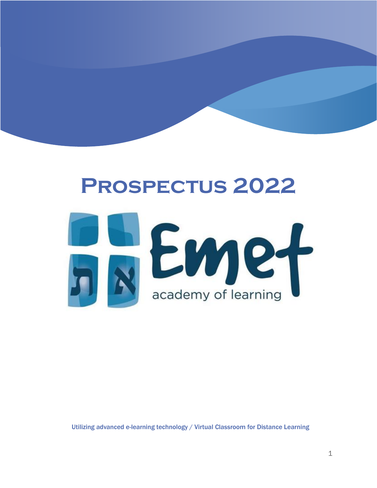# **Prospectus 2022** Emer<sup>1</sup>

Utilizing advanced e-learning technology / Virtual Classroom for Distance Learning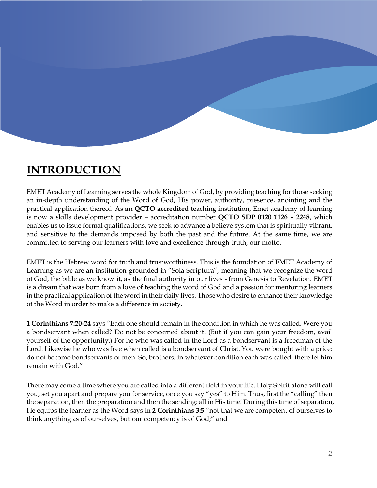

EMET Academy of Learning serves the whole Kingdom of God, by providing teaching for those seeking an in-depth understanding of the Word of God, His power, authority, presence, anointing and the practical application thereof. As an **QCTO accredited** teaching institution, Emet academy of learning is now a skills development provider – accreditation number **QCTO SDP 0120 1126 – 2248**, which enables us to issue formal qualifications, we seek to advance a believe system that is spiritually vibrant, and sensitive to the demands imposed by both the past and the future. At the same time, we are committed to serving our learners with love and excellence through truth, our motto.

EMET is the Hebrew word for truth and trustworthiness. This is the foundation of EMET Academy of Learning as we are an institution grounded in "Sola Scriptura", meaning that we recognize the word of God, the bible as we know it, as the final authority in our lives - from Genesis to Revelation. EMET is a dream that was born from a love of teaching the word of God and a passion for mentoring learners in the practical application of the word in their daily lives. Those who desire to enhance their knowledge of the Word in order to make a difference in society.

**1 Corinthians 7:20-24** says "Each one should remain in the condition in which he was called. Were you a bondservant when called? Do not be concerned about it. (But if you can gain your freedom, avail yourself of the opportunity.) For he who was called in the Lord as a bondservant is a freedman of the Lord. Likewise he who was free when called is a bondservant of Christ. You were bought with a price; do not become bondservants of men. So, brothers, in whatever condition each was called, there let him remain with God."

There may come a time where you are called into a different field in your life. Holy Spirit alone will call you, set you apart and prepare you for service, once you say "yes" to Him. Thus, first the "calling" then the separation, then the preparation and then the sending: all in His time! During this time of separation, He equips the learner as the Word says in **2 Corinthians 3:5** "not that we are competent of ourselves to think anything as of ourselves, but our competency is of God;" and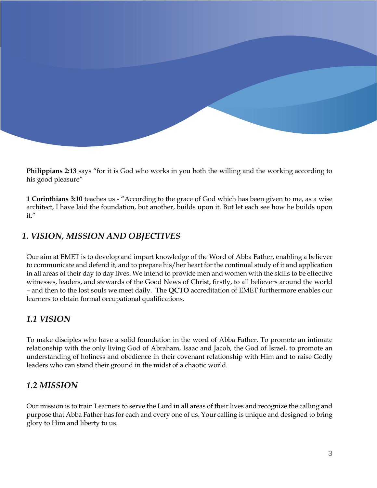**Philippians 2:13** says "for it is God who works in you both the willing and the working according to his good pleasure"

**1 Corinthians 3:10** teaches us - "According to the grace of God which has been given to me, as a wise architect, I have laid the foundation, but another, builds upon it. But let each see how he builds upon it."

#### *1. VISION, MISSION AND OBJECTIVES*

Our aim at EMET is to develop and impart knowledge of the Word of Abba Father, enabling a believer to communicate and defend it, and to prepare his/her heart for the continual study of it and application in all areas of their day to day lives. We intend to provide men and women with the skills to be effective witnesses, leaders, and stewards of the Good News of Christ, firstly, to all believers around the world – and then to the lost souls we meet daily. The **QCTO** accreditation of EMET furthermore enables our learners to obtain formal occupational qualifications.

#### *1.1 VISION*

To make disciples who have a solid foundation in the word of Abba Father. To promote an intimate relationship with the only living God of Abraham, Isaac and Jacob, the God of Israel, to promote an understanding of holiness and obedience in their covenant relationship with Him and to raise Godly leaders who can stand their ground in the midst of a chaotic world.

#### *1.2 MISSION*

Our mission is to train Learners to serve the Lord in all areas of their lives and recognize the calling and purpose that Abba Father has for each and every one of us. Your calling is unique and designed to bring glory to Him and liberty to us.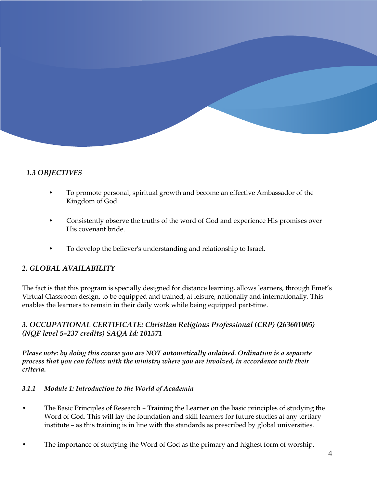#### *1.3 OBJECTIVES*

- To promote personal, spiritual growth and become an effective Ambassador of the Kingdom of God.
- Consistently observe the truths of the word of God and experience His promises over His covenant bride.
- To develop the believer's understanding and relationship to Israel.

#### *2. GLOBAL AVAILABILITY*

The fact is that this program is specially designed for distance learning, allows learners, through Emet's Virtual Classroom design, to be equipped and trained, at leisure, nationally and internationally. This enables the learners to remain in their daily work while being equipped part-time.

#### *3. OCCUPATIONAL CERTIFICATE: Christian Religious Professional (CRP) (263601005) (NQF level 5–237 credits) SAQA Id: 101571*

*Please note: by doing this course you are NOT automatically ordained. Ordination is a separate process that you can follow with the ministry where you are involved, in accordance with their criteria.* 

#### *3.1.1 Module 1: Introduction to the World of Academia*

- The Basic Principles of Research Training the Learner on the basic principles of studying the Word of God. This will lay the foundation and skill learners for future studies at any tertiary institute – as this training is in line with the standards as prescribed by global universities.
- The importance of studying the Word of God as the primary and highest form of worship.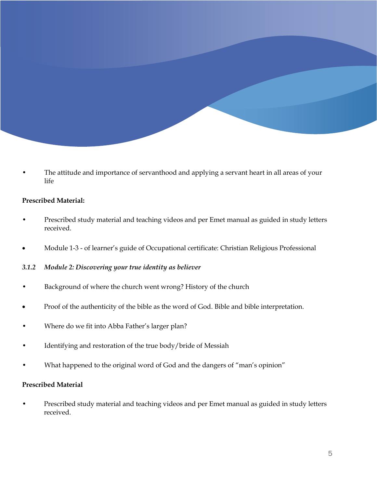The attitude and importance of servanthood and applying a servant heart in all areas of your life

#### **Prescribed Material:**

- Prescribed study material and teaching videos and per Emet manual as guided in study letters received.
- Module 1-3 of learner's guide of Occupational certificate: Christian Religious Professional

#### *3.1.2 Module 2: Discovering your true identity as believer*

- Background of where the church went wrong? History of the church
- Proof of the authenticity of the bible as the word of God. Bible and bible interpretation.
- Where do we fit into Abba Father's larger plan?
- Identifying and restoration of the true body/bride of Messiah
- What happened to the original word of God and the dangers of "man's opinion"

#### **Prescribed Material**

• Prescribed study material and teaching videos and per Emet manual as guided in study letters received.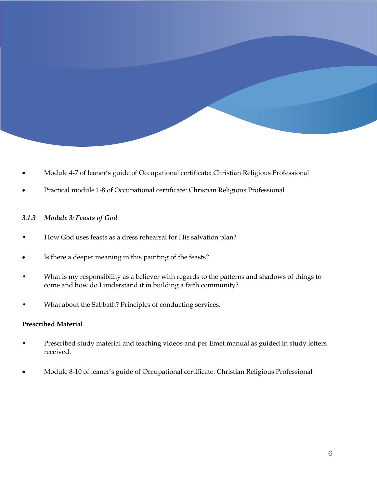- Module 4-7 of leaner's guide of Occupational certificate: Christian Religious Professional
- Practical module 1-8 of Occupational certificate: Christian Religious Professional

#### *3.1.3 Module 3: Feasts of God*

- How God uses feasts as a dress rehearsal for His salvation plan?
- Is there a deeper meaning in this painting of the feasts?
- What is my responsibility as a believer with regards to the patterns and shadows of things to come and how do I understand it in building a faith community?
- What about the Sabbath? Principles of conducting services.

#### **Prescribed Material**

- Prescribed study material and teaching videos and per Emet manual as guided in study letters received.
- Module 8-10 of leaner's guide of Occupational certificate: Christian Religious Professional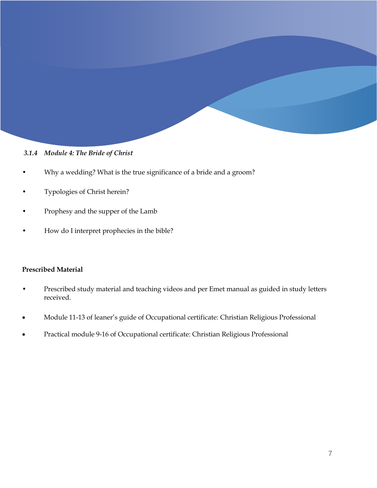#### *3.1.4 Module 4: The Bride of Christ*

- Why a wedding? What is the true significance of a bride and a groom?
- Typologies of Christ herein?
- Prophesy and the supper of the Lamb
- How do I interpret prophecies in the bible?

#### **Prescribed Material**

- Prescribed study material and teaching videos and per Emet manual as guided in study letters received.
- Module 11-13 of leaner's guide of Occupational certificate: Christian Religious Professional
- Practical module 9-16 of Occupational certificate: Christian Religious Professional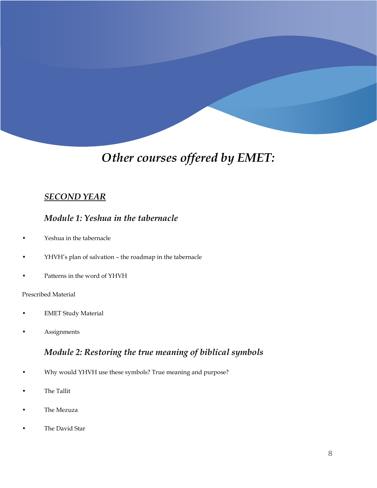# *Other courses offered by EMET:*

#### *SECOND YEAR*

#### *Module 1: Yeshua in the tabernacle*

- Yeshua in the tabernacle
- YHVH's plan of salvation the roadmap in the tabernacle
- Patterns in the word of YHVH

#### Prescribed Material

- EMET Study Material
- Assignments

#### *Module 2: Restoring the true meaning of biblical symbols*

- Why would YHVH use these symbols? True meaning and purpose?
- The Tallit
- The Mezuza
- The David Star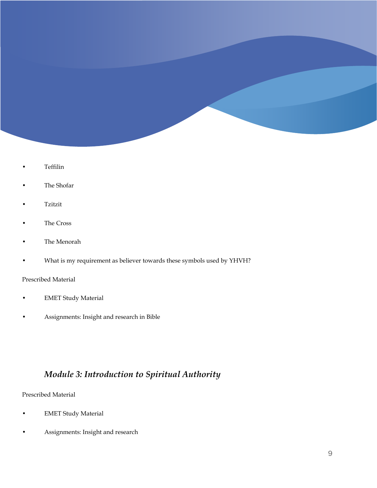- Teffilin
- The Shofar
- Tzitzit
- The Cross
- The Menorah
- What is my requirement as believer towards these symbols used by YHVH?

#### Prescribed Material

- **EMET Study Material**
- Assignments: Insight and research in Bible

## *Module 3: Introduction to Spiritual Authority*

Prescribed Material

- **EMET Study Material**
- Assignments: Insight and research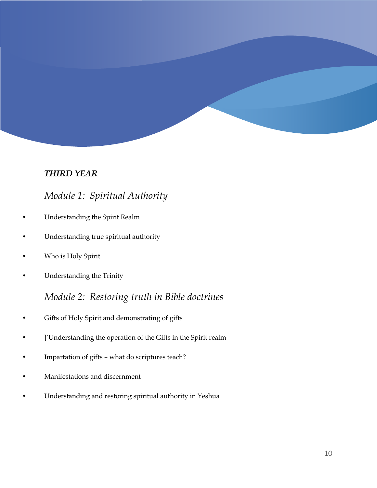#### *THIRD YEAR*

## *Module 1: Spiritual Authority*

- Understanding the Spirit Realm
- Understanding true spiritual authority
- Who is Holy Spirit
- Understanding the Trinity

# *Module 2: Restoring truth in Bible doctrines*

- Gifts of Holy Spirit and demonstrating of gifts
- ]'Understanding the operation of the Gifts in the Spirit realm
- Impartation of gifts what do scriptures teach?
- Manifestations and discernment
- Understanding and restoring spiritual authority in Yeshua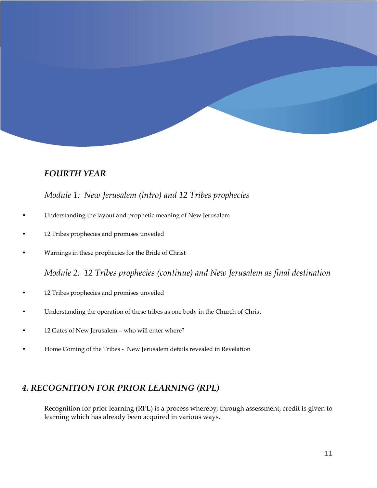#### *FOURTH YEAR*

#### *Module 1: New Jerusalem (intro) and 12 Tribes prophecies*

- Understanding the layout and prophetic meaning of New Jerusalem
- 12 Tribes prophecies and promises unveiled
- Warnings in these prophecies for the Bride of Christ

*Module 2: 12 Tribes prophecies (continue) and New Jerusalem as final destination*

- 12 Tribes prophecies and promises unveiled
- Understanding the operation of these tribes as one body in the Church of Christ
- 12 Gates of New Jerusalem who will enter where?
- Home Coming of the Tribes New Jerusalem details revealed in Revelation

#### *4. RECOGNITION FOR PRIOR LEARNING (RPL)*

Recognition for prior learning (RPL) is a process whereby, through assessment, credit is given to learning which has already been acquired in various ways.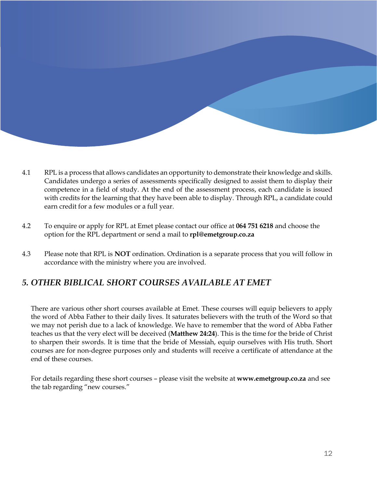- 4.1 RPL is a process that allows candidates an opportunity to demonstrate their knowledge and skills. Candidates undergo a series of assessments specifically designed to assist them to display their competence in a field of study. At the end of the assessment process, each candidate is issued with credits for the learning that they have been able to display. Through RPL, a candidate could earn credit for a few modules or a full year.
- 4.2 To enquire or apply for RPL at Emet please contact our office at **064 751 6218** and choose the option for the RPL department or send a mail to **[rpl@emetgroup.co.za](mailto:rpl@emetgroup.co.za)**
- 4.3 Please note that RPL is **NOT** ordination. Ordination is a separate process that you will follow in accordance with the ministry where you are involved.

#### *5. OTHER BIBLICAL SHORT COURSES AVAILABLE AT EMET*

There are various other short courses available at Emet. These courses will equip believers to apply the word of Abba Father to their daily lives. It saturates believers with the truth of the Word so that we may not perish due to a lack of knowledge. We have to remember that the word of Abba Father teaches us that the very elect will be deceived (**Matthew 24:24**). This is the time for the bride of Christ to sharpen their swords. It is time that the bride of Messiah, equip ourselves with His truth. Short courses are for non-degree purposes only and students will receive a certificate of attendance at the end of these courses.

For details regarding these short courses – please visit the website at **[www.emetgroup.co.za](http://www.emetgroup.co.za/)** and see the tab regarding "new courses."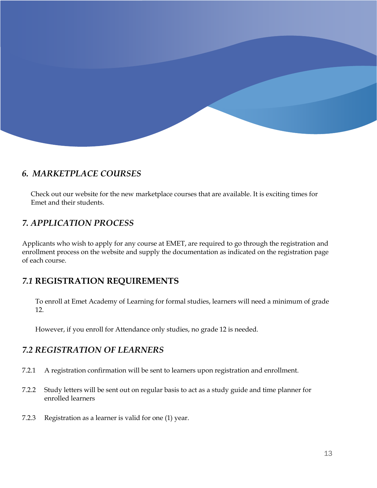

#### *6. MARKETPLACE COURSES*

Check out our website for the new marketplace courses that are available. It is exciting times for Emet and their students.

#### *7. APPLICATION PROCESS*

Applicants who wish to apply for any course at EMET, are required to go through the registration and enrollment process on the website and supply the documentation as indicated on the registration page of each course.

#### *7.1* **REGISTRATION REQUIREMENTS**

To enroll at Emet Academy of Learning for formal studies, learners will need a minimum of grade 12.

However, if you enroll for Attendance only studies, no grade 12 is needed.

#### *7.2 REGISTRATION OF LEARNERS*

- 7.2.1 A registration confirmation will be sent to learners upon registration and enrollment.
- 7.2.2 Study letters will be sent out on regular basis to act as a study guide and time planner for enrolled learners
- 7.2.3 Registration as a learner is valid for one (1) year.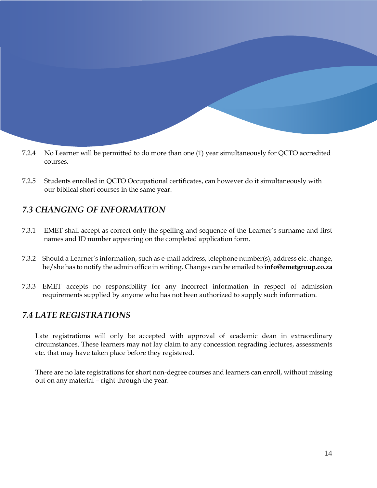- 7.2.4 No Learner will be permitted to do more than one (1) year simultaneously for QCTO accredited courses.
- 7.2.5 Students enrolled in QCTO Occupational certificates, can however do it simultaneously with our biblical short courses in the same year.

#### *7.3 CHANGING OF INFORMATION*

- 7.3.1 EMET shall accept as correct only the spelling and sequence of the Learner's surname and first names and ID number appearing on the completed application form.
- 7.3.2 Should a Learner's information, such as e-mail address, telephone number(s), address etc. change, he/she has to notify the admin office in writing. Changes can be emailed to **[info@emetgroup.co.za](mailto:info@emetgroup.co.za)**
- 7.3.3 EMET accepts no responsibility for any incorrect information in respect of admission requirements supplied by anyone who has not been authorized to supply such information.

#### *7.4 LATE REGISTRATIONS*

Late registrations will only be accepted with approval of academic dean in extraordinary circumstances. These learners may not lay claim to any concession regrading lectures, assessments etc. that may have taken place before they registered.

There are no late registrations for short non-degree courses and learners can enroll, without missing out on any material – right through the year.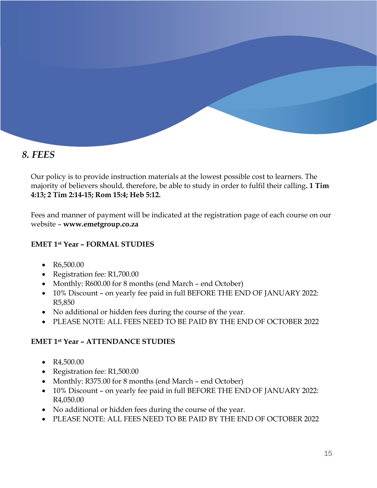## *8. FEES*

Our policy is to provide instruction materials at the lowest possible cost to learners. The majority of believers should, therefore, be able to study in order to fulfil their calling**. 1 Tim 4:13; 2 Tim 2:14-15; Rom 15:4; Heb 5:12.**

Fees and manner of payment will be indicated at the registration page of each course on our website – **[www.emetgroup.co.za](http://www.emetgroup.co.za/)**

#### **EMET 1st Year – FORMAL STUDIES**

- R6,500.00
- Registration fee: R1,700.00
- Monthly: R600.00 for 8 months (end March end October)
- 10% Discount on yearly fee paid in full BEFORE THE END OF JANUARY 2022: R5,850
- No additional or hidden fees during the course of the year.
- PLEASE NOTE: ALL FEES NEED TO BE PAID BY THE END OF OCTOBER 2022

#### **EMET 1st Year – ATTENDANCE STUDIES**

- R4,500.00
- Registration fee: R1,500.00
- Monthly: R375.00 for 8 months (end March end October)
- 10% Discount on yearly fee paid in full BEFORE THE END OF JANUARY 2022: R4,050.00
- No additional or hidden fees during the course of the year.
- PLEASE NOTE: ALL FEES NEED TO BE PAID BY THE END OF OCTOBER 2022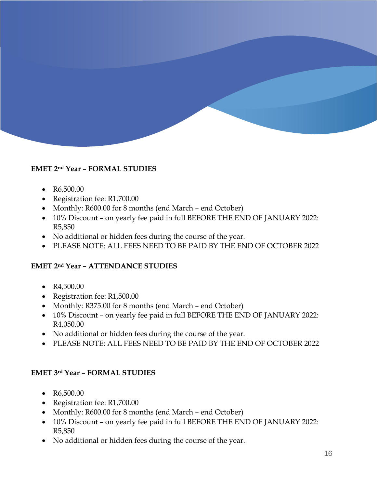

#### **EMET 2nd Year – FORMAL STUDIES**

- R6,500.00
- Registration fee: R1,700.00
- Monthly: R600.00 for 8 months (end March end October)
- 10% Discount on yearly fee paid in full BEFORE THE END OF JANUARY 2022: R5,850
- No additional or hidden fees during the course of the year.
- PLEASE NOTE: ALL FEES NEED TO BE PAID BY THE END OF OCTOBER 2022

#### **EMET 2nd Year – ATTENDANCE STUDIES**

- $R4,500.00$
- Registration fee: R1,500.00
- Monthly: R375.00 for 8 months (end March end October)
- 10% Discount on yearly fee paid in full BEFORE THE END OF JANUARY 2022: R4,050.00
- No additional or hidden fees during the course of the year.
- PLEASE NOTE: ALL FEES NEED TO BE PAID BY THE END OF OCTOBER 2022

#### **EMET 3rd Year – FORMAL STUDIES**

- R6,500.00
- Registration fee: R1,700.00
- Monthly: R600.00 for 8 months (end March end October)
- 10% Discount on yearly fee paid in full BEFORE THE END OF JANUARY 2022: R5,850
- No additional or hidden fees during the course of the year.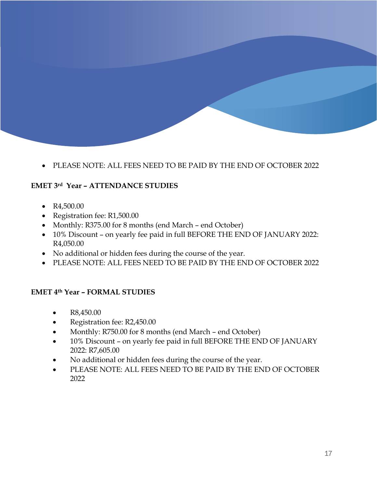• PLEASE NOTE: ALL FEES NEED TO BE PAID BY THE END OF OCTOBER 2022

#### **EMET 3rd Year – ATTENDANCE STUDIES**

- R4,500.00
- Registration fee: R1,500.00
- Monthly: R375.00 for 8 months (end March end October)
- 10% Discount on yearly fee paid in full BEFORE THE END OF JANUARY 2022: R4,050.00
- No additional or hidden fees during the course of the year.
- PLEASE NOTE: ALL FEES NEED TO BE PAID BY THE END OF OCTOBER 2022

#### **EMET 4th Year – FORMAL STUDIES**

- R8,450.00
- Registration fee: R2,450.00
- Monthly: R750.00 for 8 months (end March end October)
- 10% Discount on yearly fee paid in full BEFORE THE END OF JANUARY 2022: R7,605.00
- No additional or hidden fees during the course of the year.
- PLEASE NOTE: ALL FEES NEED TO BE PAID BY THE END OF OCTOBER 2022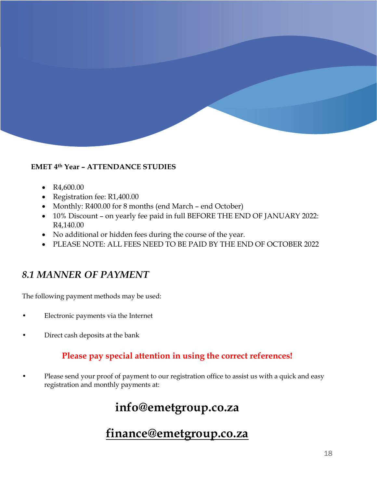#### **EMET 4th Year – ATTENDANCE STUDIES**

- R4,600.00
- Registration fee: R1,400.00
- Monthly: R400.00 for 8 months (end March end October)
- 10% Discount on yearly fee paid in full BEFORE THE END OF JANUARY 2022: R4,140.00
- No additional or hidden fees during the course of the year.
- PLEASE NOTE: ALL FEES NEED TO BE PAID BY THE END OF OCTOBER 2022

## *8.1 MANNER OF PAYMENT*

The following payment methods may be used:

- Electronic payments via the Internet
- Direct cash deposits at the bank

#### **Please pay special attention in using the correct references!**

• Please send your proof of payment to our registration office to assist us with a quick and easy registration and monthly payments at:

# **[info@emetgroup.co.za](mailto:info@emetgroup.co.za)**

# **[finance@emetgroup.co.za](mailto:finance@emetgroup.co.za)**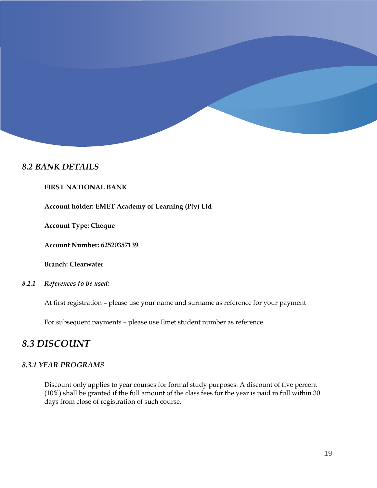#### *8.2 BANK DETAILS*

#### **FIRST NATIONAL BANK**

**Account holder: EMET Academy of Learning (Pty) Ltd**

**Account Type: Cheque** 

**Account Number: 62520357139** 

**Branch: Clearwater**

*8.2.1 References to be used:* 

At first registration – please use your name and surname as reference for your payment

For subsequent payments – please use Emet student number as reference.

#### *8.3 DISCOUNT*

#### *8.3.1 YEAR PROGRAMS*

Discount only applies to year courses for formal study purposes. A discount of five percent (10%) shall be granted if the full amount of the class fees for the year is paid in full within 30 days from close of registration of such course.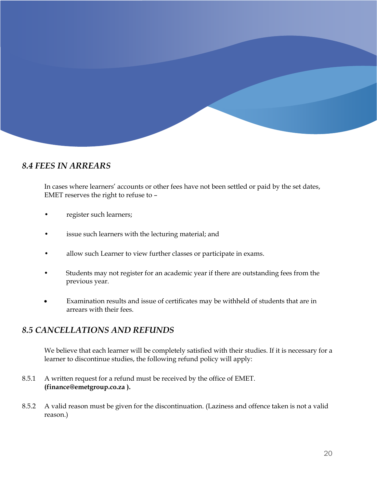

#### *8.4 FEES IN ARREARS*

In cases where learners' accounts or other fees have not been settled or paid by the set dates, EMET reserves the right to refuse to –

- register such learners;
- issue such learners with the lecturing material; and
- allow such Learner to view further classes or participate in exams.
- Students may not register for an academic year if there are outstanding fees from the previous year.
- Examination results and issue of certificates may be withheld of students that are in arrears with their fees.

#### *8.5 CANCELLATIONS AND REFUNDS*

We believe that each learner will be completely satisfied with their studies. If it is necessary for a learner to discontinue studies, the following refund policy will apply:

- 8.5.1 A written request for a refund must be received by the office of EMET. **[\(finance@emetgroup.co.za](mailto:finance@emetgroup.co.za) ).**
- 8.5.2 A valid reason must be given for the discontinuation. (Laziness and offence taken is not a valid reason.)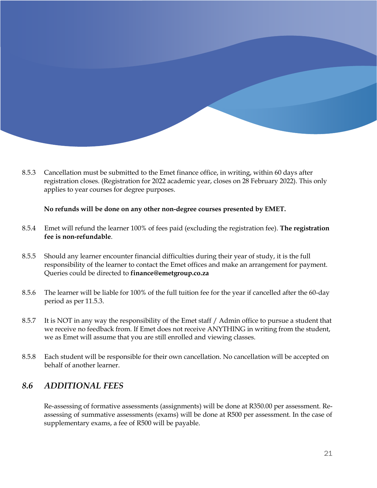8.5.3 Cancellation must be submitted to the Emet finance office, in writing, within 60 days after registration closes. (Registration for 2022 academic year, closes on 28 February 2022). This only applies to year courses for degree purposes.

#### **No refunds will be done on any other non-degree courses presented by EMET.**

- 8.5.4 Emet will refund the learner 100% of fees paid (excluding the registration fee). **The registration fee is non-refundable**.
- 8.5.5 Should any learner encounter financial difficulties during their year of study, it is the full responsibility of the learner to contact the Emet offices and make an arrangement for payment. Queries could be directed to **[finance@emetgroup.co.za](mailto:finance@emetgroup.co.za)**
- 8.5.6 The learner will be liable for 100% of the full tuition fee for the year if cancelled after the 60-day period as per 11.5.3.
- 8.5.7 It is NOT in any way the responsibility of the Emet staff / Admin office to pursue a student that we receive no feedback from. If Emet does not receive ANYTHING in writing from the student, we as Emet will assume that you are still enrolled and viewing classes.
- 8.5.8 Each student will be responsible for their own cancellation. No cancellation will be accepted on behalf of another learner.

#### *8.6 ADDITIONAL FEES*

Re-assessing of formative assessments (assignments) will be done at R350.00 per assessment. Reassessing of summative assessments (exams) will be done at R500 per assessment. In the case of supplementary exams, a fee of R500 will be payable.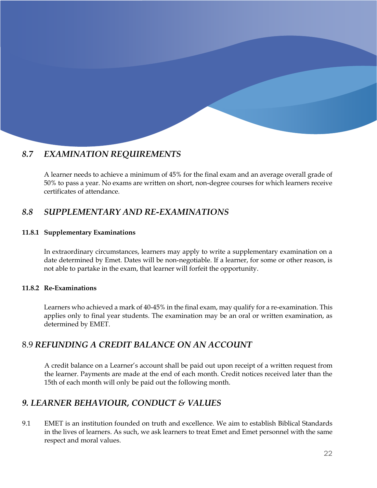#### *8.7 EXAMINATION REQUIREMENTS*

A learner needs to achieve a minimum of 45% for the final exam and an average overall grade of 50% to pass a year. No exams are written on short, non-degree courses for which learners receive certificates of attendance.

#### *8.8 SUPPLEMENTARY AND RE-EXAMINATIONS*

#### **11.8.1 Supplementary Examinations**

In extraordinary circumstances, learners may apply to write a supplementary examination on a date determined by Emet. Dates will be non-negotiable. If a learner, for some or other reason, is not able to partake in the exam, that learner will forfeit the opportunity.

#### **11.8.2 Re-Examinations**

Learners who achieved a mark of 40-45% in the final exam, may qualify for a re-examination. This applies only to final year students. The examination may be an oral or written examination, as determined by EMET.

#### 8.9 *REFUNDING A CREDIT BALANCE ON AN ACCOUNT*

A credit balance on a Learner's account shall be paid out upon receipt of a written request from the learner. Payments are made at the end of each month. Credit notices received later than the 15th of each month will only be paid out the following month.

#### *9. LEARNER BEHAVIOUR, CONDUCT & VALUES*

9.1 EMET is an institution founded on truth and excellence. We aim to establish Biblical Standards in the lives of learners. As such, we ask learners to treat Emet and Emet personnel with the same respect and moral values.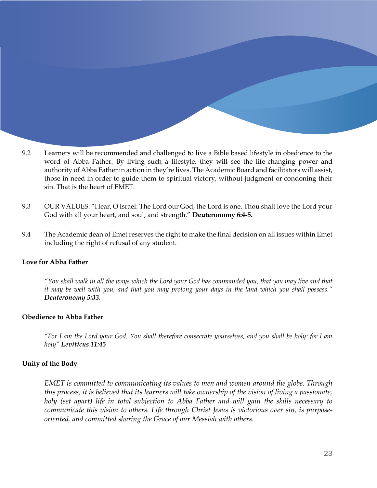- 9.2 Learners will be recommended and challenged to live a Bible based lifestyle in obedience to the word of Abba Father. By living such a lifestyle, they will see the life-changing power and authority of Abba Father in action in they're lives. The Academic Board and facilitators will assist, those in need in order to guide them to spiritual victory, without judgment or condoning their sin. That is the heart of EMET.
- 9.3 OUR VALUES: "Hear, O Israel: The Lord our God, the Lord is one. Thou shalt love the Lord your God with all your heart, and soul, and strength." **Deuteronomy 6:4-5.**
- 9.4 The Academic dean of Emet reserves the right to make the final decision on all issues within Emet including the right of refusal of any student.

#### **Love for Abba Father**

*"You shall walk in all the ways which the Lord your God has commanded you, that you may live and that it may be well with you, and that you may prolong your days in the land which you shall possess." Deuteronomy 5:33.* 

#### **Obedience to Abba Father**

*"For I am the Lord your God. You shall therefore consecrate yourselves, and you shall be holy: for I am holy" Leviticus 11:45*

#### **Unity of the Body**

*EMET is committed to communicating its values to men and women around the globe. Through this process, it is believed that its learners will take ownership of the vision of living a passionate, holy (set apart) life in total subjection to Abba Father and will gain the skills necessary to communicate this vision to others. Life through Christ Jesus is victorious over sin, is purposeoriented, and committed sharing the Grace of our Messiah with others.*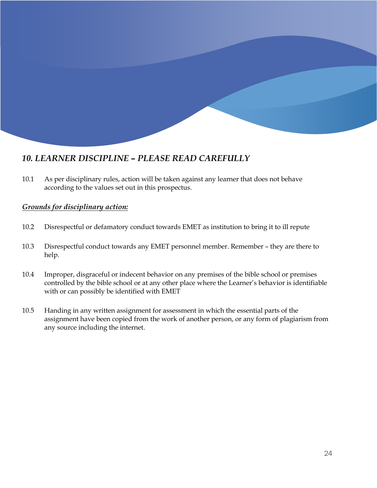#### *10. LEARNER DISCIPLINE – PLEASE READ CAREFULLY*

10.1 As per disciplinary rules, action will be taken against any learner that does not behave according to the values set out in this prospectus.

#### *Grounds for disciplinary action:*

- 10.2 Disrespectful or defamatory conduct towards EMET as institution to bring it to ill repute
- 10.3 Disrespectful conduct towards any EMET personnel member. Remember they are there to help.
- 10.4 Improper, disgraceful or indecent behavior on any premises of the bible school or premises controlled by the bible school or at any other place where the Learner's behavior is identifiable with or can possibly be identified with EMET
- 10.5 Handing in any written assignment for assessment in which the essential parts of the assignment have been copied from the work of another person, or any form of plagiarism from any source including the internet.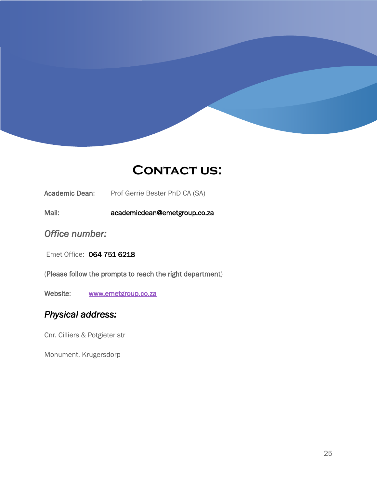# **CONTACT US:**

Academic Dean: Prof Gerrie Bester PhD CA (SA)

Mail: academicdean@emetgroup.co.za

*Office number:* 

Emet Office: 064 751 6218

(Please follow the prompts to reach the right department)

Website: www.emetgroup.co.za

## *Physical address:*

Cnr. Cilliers & Potgieter str

Monument, Krugersdorp